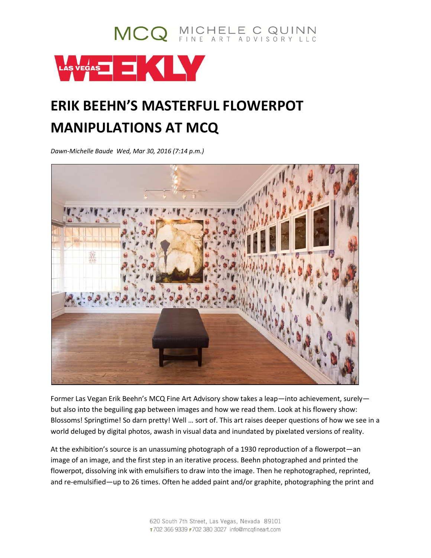

## **ERIK BEEHN'S MASTERFUL FLOWERPOT MANIPULATIONS AT MCQ**

MCQ MICHELE C QUINN

*Dawn-Michelle Baude Wed, Mar 30, 2016 (7:14 p.m.)*



Former Las Vegan Erik Beehn's MCQ Fine Art Advisory show takes a leap—into achievement, surely but also into the beguiling gap between images and how we read them. Look at his flowery show: Blossoms! Springtime! So darn pretty! Well … sort of. This art raises deeper questions of how we see in a world deluged by digital photos, awash in visual data and inundated by pixelated versions of reality.

At the exhibition's source is an unassuming photograph of a 1930 reproduction of a flowerpot—an image of an image, and the first step in an iterative process. Beehn photographed and printed the flowerpot, dissolving ink with emulsifiers to draw into the image. Then he rephotographed, reprinted, and re-emulsified—up to 26 times. Often he added paint and/or graphite, photographing the print and